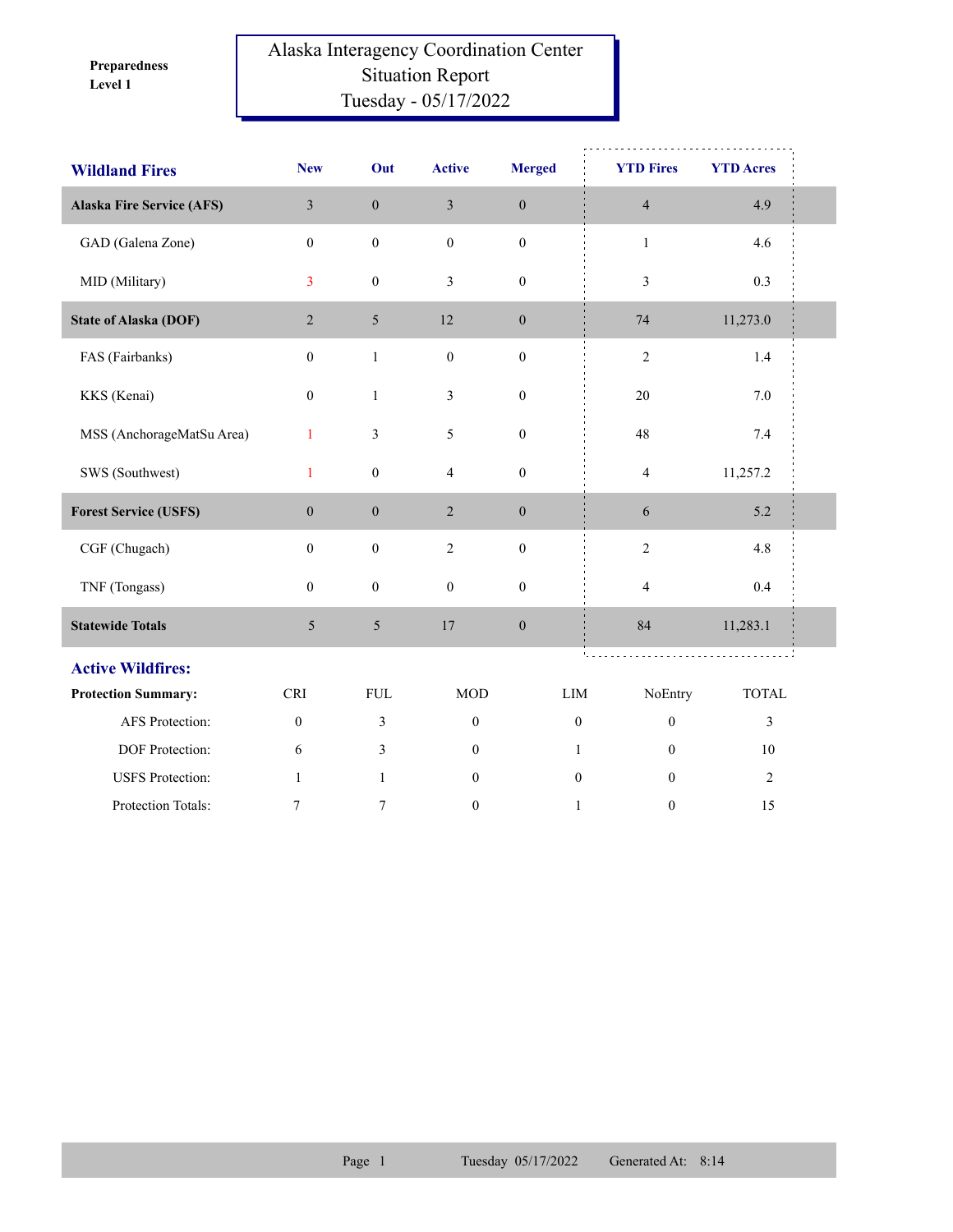**Level 1 Preparedness** 

## Alaska Interagency Coordination Center Situation Report Tuesday - 05/17/2022

| <b>Wildland Fires</b>            | <b>New</b>       | Out              | <b>Active</b>           | <b>Merged</b>    | <b>YTD Fires</b> | <b>YTD Acres</b> |  |
|----------------------------------|------------------|------------------|-------------------------|------------------|------------------|------------------|--|
| <b>Alaska Fire Service (AFS)</b> | $\overline{3}$   | $\boldsymbol{0}$ | $\overline{\mathbf{3}}$ | $\boldsymbol{0}$ | $\sqrt{4}$       | 4.9              |  |
| GAD (Galena Zone)                | $\overline{0}$   | $\boldsymbol{0}$ | $\boldsymbol{0}$        | $\boldsymbol{0}$ | $\mathbf{1}$     | 4.6              |  |
| MID (Military)                   | $\overline{3}$   | $\boldsymbol{0}$ | 3                       | $\boldsymbol{0}$ | 3                | 0.3              |  |
| <b>State of Alaska (DOF)</b>     | $\overline{2}$   | $5\overline{)}$  | 12                      | $\boldsymbol{0}$ | $74\,$           | 11,273.0         |  |
| FAS (Fairbanks)                  | $\boldsymbol{0}$ | $\,1$            | $\boldsymbol{0}$        | $\boldsymbol{0}$ | $\sqrt{2}$       | $1.4\,$          |  |
| KKS (Kenai)                      | $\boldsymbol{0}$ | $\mathbf{1}$     | $\mathfrak{Z}$          | $\boldsymbol{0}$ | 20               | $7.0\,$          |  |
| MSS (AnchorageMatSu Area)        | $\mathbf{1}$     | 3                | $\mathfrak{S}$          | $\boldsymbol{0}$ | 48               | $7.4\,$          |  |
| SWS (Southwest)                  | $\mathbf{1}$     | $\boldsymbol{0}$ | $\overline{4}$          | $\boldsymbol{0}$ | $\overline{4}$   | 11,257.2         |  |
| <b>Forest Service (USFS)</b>     | $\boldsymbol{0}$ | $\boldsymbol{0}$ | $\sqrt{2}$              | $\boldsymbol{0}$ | 6                | 5.2              |  |
| CGF (Chugach)                    | $\boldsymbol{0}$ | $\boldsymbol{0}$ | $\sqrt{2}$              | $\boldsymbol{0}$ | $\sqrt{2}$       | 4.8              |  |
| TNF (Tongass)                    | $\boldsymbol{0}$ | $\boldsymbol{0}$ | $\mathbf{0}$            | $\boldsymbol{0}$ | $\overline{4}$   | 0.4              |  |
| <b>Statewide Totals</b>          | $5\overline{)}$  | 5                | 17                      | $\boldsymbol{0}$ | 84               | 11,283.1         |  |
| <b>Active Wildfires:</b>         |                  |                  |                         |                  | <b>Contract</b>  | .                |  |
| <b>Protection Summary:</b>       | <b>CRI</b>       | ${\rm FUL}$      | <b>MOD</b>              | LIM              | NoEntry          | <b>TOTAL</b>     |  |
| AFS Protection:                  | $\boldsymbol{0}$ | 3                | $\boldsymbol{0}$        | $\boldsymbol{0}$ | $\boldsymbol{0}$ | $\mathfrak{Z}$   |  |
| <b>DOF</b> Protection:           | 6                | 3                | $\mathbf{0}$            | $\mathbf{1}$     | $\theta$         | 10               |  |
| <b>USFS</b> Protection:          | $\mathbf{1}$     | $\mathbf{1}$     | $\boldsymbol{0}$        | $\boldsymbol{0}$ | $\mathbf{0}$     | $\overline{2}$   |  |
| Protection Totals:               | 7                | 7                | $\boldsymbol{0}$        | $\mathbf{1}$     | $\boldsymbol{0}$ | 15               |  |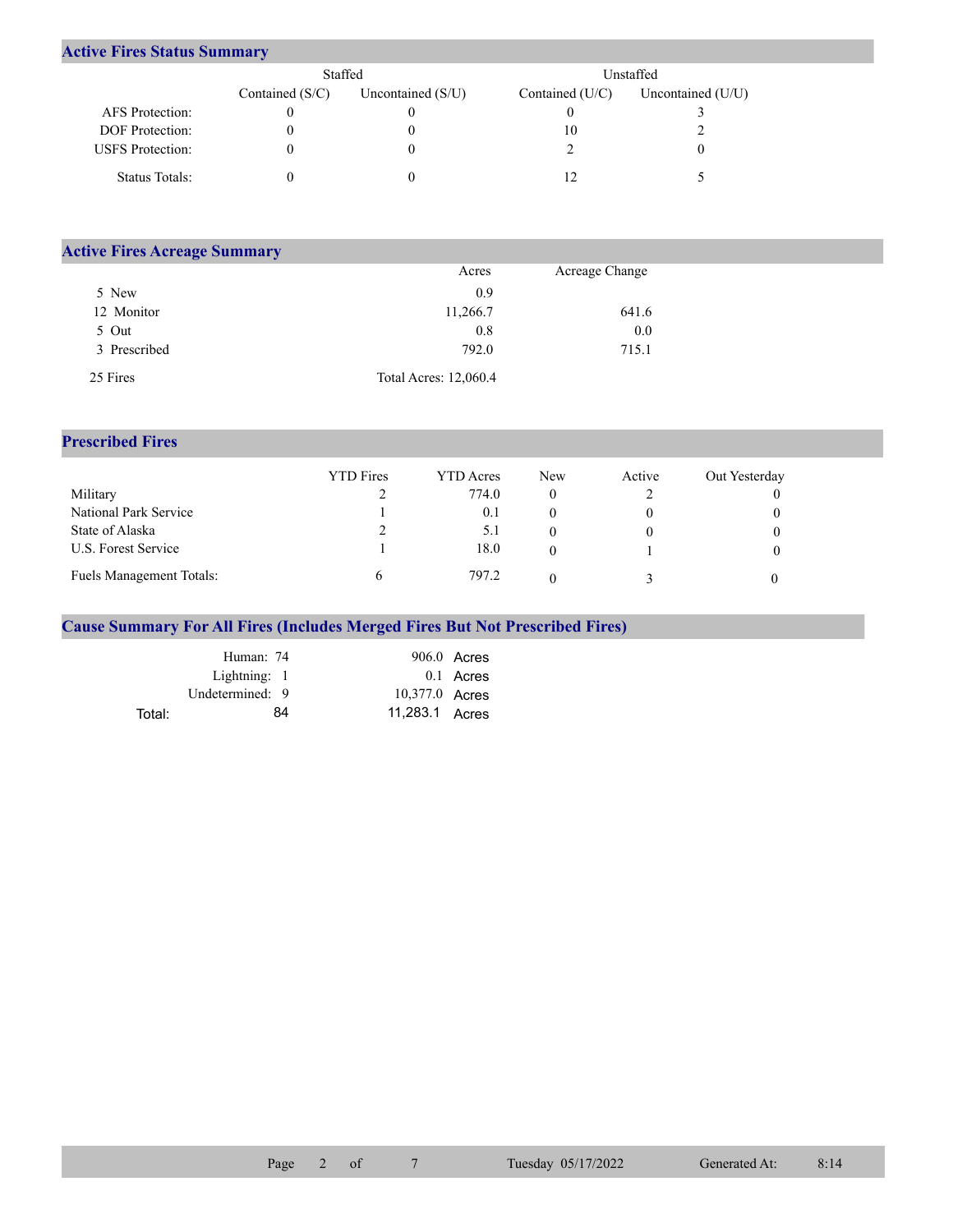## **Active Fires Status Summary**

|                         | Staffed           |                     | Unstaffed       |                     |  |  |
|-------------------------|-------------------|---------------------|-----------------|---------------------|--|--|
|                         | Contained $(S/C)$ | Uncontained $(S/U)$ | Contained (U/C) | Uncontained $(U/U)$ |  |  |
| AFS Protection:         |                   |                     |                 |                     |  |  |
| <b>DOF</b> Protection:  |                   |                     | 10              |                     |  |  |
| <b>USFS</b> Protection: |                   |                     |                 |                     |  |  |
| Status Totals:          |                   |                     |                 |                     |  |  |

| <b>Active Fires Acreage Summary</b> |                       |                |  |
|-------------------------------------|-----------------------|----------------|--|
|                                     | Acres                 | Acreage Change |  |
| 5 New                               | 0.9                   |                |  |
| 12 Monitor                          | 11,266.7              | 641.6          |  |
| 5 Out                               | 0.8                   | 0.0            |  |
| 3 Prescribed                        | 792.0                 | 715.1          |  |
| 25 Fires                            | Total Acres: 12,060.4 |                |  |

## **Prescribed Fires**

|                                 | <b>YTD</b> Fires | <b>YTD</b> Acres | <b>New</b> | Active | Out Yesterday |
|---------------------------------|------------------|------------------|------------|--------|---------------|
| Military                        |                  | 774.0            |            |        |               |
| National Park Service           |                  | 0.1              |            |        |               |
| State of Alaska                 |                  | 5.1              |            |        |               |
| U.S. Forest Service             |                  | 18.0             |            |        |               |
| <b>Fuels Management Totals:</b> |                  | 797.2            |            |        |               |

## **Cause Summary For All Fires (Includes Merged Fires But Not Prescribed Fires)**

|        | Human: 74       |                | $906.0$ Acres |
|--------|-----------------|----------------|---------------|
|        | Lightning: 1    |                | 0.1 Acres     |
|        | Undetermined: 9 | 10,377.0 Acres |               |
| Total: | 84              | 11.283.1 Acres |               |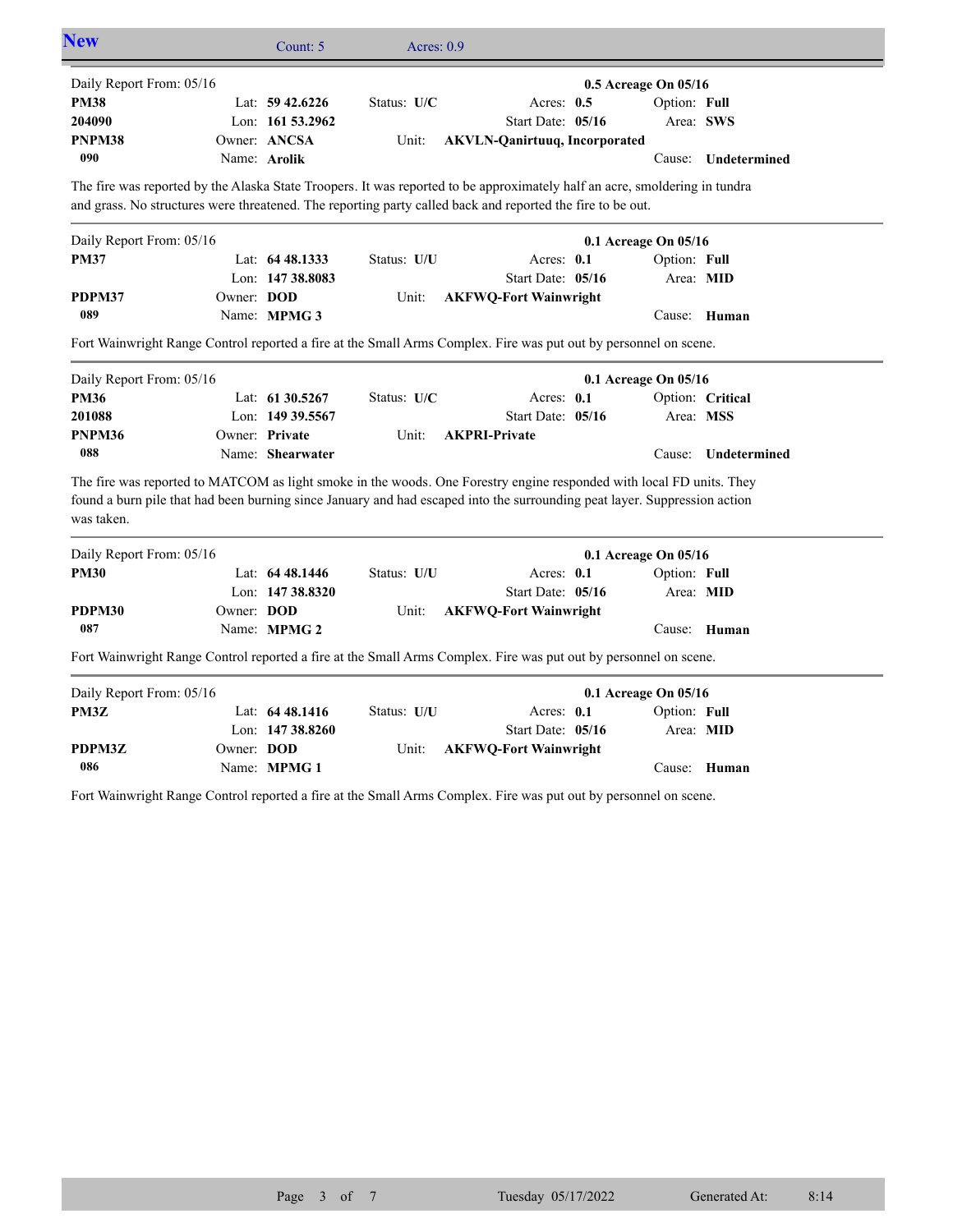|                          |                   | Count: 5         | Acres: 0.9  |                                                                                                                                                                                                                                                   |                      |                     |
|--------------------------|-------------------|------------------|-------------|---------------------------------------------------------------------------------------------------------------------------------------------------------------------------------------------------------------------------------------------------|----------------------|---------------------|
| Daily Report From: 05/16 |                   |                  |             |                                                                                                                                                                                                                                                   | 0.5 Acreage On 05/16 |                     |
| <b>PM38</b>              |                   | Lat: 59 42.6226  | Status: U/C | Acres: 0.5                                                                                                                                                                                                                                        | Option: Full         |                     |
| 204090                   |                   | Lon: 161 53.2962 |             | Start Date: 05/16                                                                                                                                                                                                                                 |                      | Area: SWS           |
| PNPM38                   |                   | Owner: ANCSA     | Unit:       | <b>AKVLN-Qanirtuuq, Incorporated</b>                                                                                                                                                                                                              |                      |                     |
| 090                      |                   | Name: Arolik     |             |                                                                                                                                                                                                                                                   |                      | Cause: Undetermined |
|                          |                   |                  |             | The fire was reported by the Alaska State Troopers. It was reported to be approximately half an acre, smoldering in tundra                                                                                                                        |                      |                     |
|                          |                   |                  |             | and grass. No structures were threatened. The reporting party called back and reported the fire to be out.                                                                                                                                        |                      |                     |
| Daily Report From: 05/16 |                   |                  |             |                                                                                                                                                                                                                                                   | 0.1 Acreage On 05/16 |                     |
| <b>PM37</b>              |                   | Lat: 64 48.1333  | Status: U/U | Acres: 0.1                                                                                                                                                                                                                                        | Option: Full         |                     |
|                          |                   | Lon: 147 38.8083 |             | Start Date: 05/16                                                                                                                                                                                                                                 | Area: MID            |                     |
| PDPM37                   | Owner: DOD        |                  | Unit:       | <b>AKFWQ-Fort Wainwright</b>                                                                                                                                                                                                                      |                      |                     |
| 089                      |                   | Name: MPMG 3     |             |                                                                                                                                                                                                                                                   |                      | Cause: Human        |
|                          |                   |                  |             | Fort Wainwright Range Control reported a fire at the Small Arms Complex. Fire was put out by personnel on scene.                                                                                                                                  |                      |                     |
| Daily Report From: 05/16 |                   |                  |             |                                                                                                                                                                                                                                                   | 0.1 Acreage On 05/16 |                     |
| <b>PM36</b>              |                   | Lat: 61 30.5267  | Status: U/C | Acres: 0.1                                                                                                                                                                                                                                        |                      | Option: Critical    |
|                          |                   |                  |             |                                                                                                                                                                                                                                                   |                      |                     |
|                          |                   | Lon: 149 39.5567 |             | Start Date: 05/16                                                                                                                                                                                                                                 |                      | Area: MSS           |
|                          |                   | Owner: Private   | Unit:       | <b>AKPRI-Private</b>                                                                                                                                                                                                                              |                      |                     |
| 201088<br>PNPM36<br>088  |                   | Name: Shearwater |             |                                                                                                                                                                                                                                                   | Cause:               | Undetermined        |
|                          |                   |                  |             |                                                                                                                                                                                                                                                   |                      |                     |
| was taken.               |                   |                  |             | The fire was reported to MATCOM as light smoke in the woods. One Forestry engine responded with local FD units. They<br>found a burn pile that had been burning since January and had escaped into the surrounding peat layer. Suppression action |                      |                     |
| Daily Report From: 05/16 |                   |                  |             |                                                                                                                                                                                                                                                   | 0.1 Acreage On 05/16 |                     |
| <b>PM30</b>              |                   | Lat: 64 48.1446  | Status: U/U | Acres: 0.1                                                                                                                                                                                                                                        | Option: Full         |                     |
|                          |                   | Lon: 147 38.8320 |             | Start Date: 05/16                                                                                                                                                                                                                                 | Area: MID            |                     |
|                          | Owner: <b>DOD</b> |                  | Unit:       | <b>AKFWQ-Fort Wainwright</b>                                                                                                                                                                                                                      |                      |                     |
| PDPM30<br>087            |                   | Name: MPMG 2     |             |                                                                                                                                                                                                                                                   |                      | Cause: Human        |
|                          |                   |                  |             | Fort Wainwright Range Control reported a fire at the Small Arms Complex. Fire was put out by personnel on scene.                                                                                                                                  |                      |                     |
| Daily Report From: 05/16 |                   |                  |             |                                                                                                                                                                                                                                                   | 0.1 Acreage On 05/16 |                     |
| PM3Z                     |                   | Lat: 64 48.1416  | Status: U/U | Acres: 0.1                                                                                                                                                                                                                                        | Option: Full         |                     |
|                          |                   | Lon: 147 38.8260 |             | Start Date: 05/16                                                                                                                                                                                                                                 | Area: MID            |                     |
| PDPM3Z                   | Owner: DOD        |                  | Unit:       | <b>AKFWQ-Fort Wainwright</b>                                                                                                                                                                                                                      |                      |                     |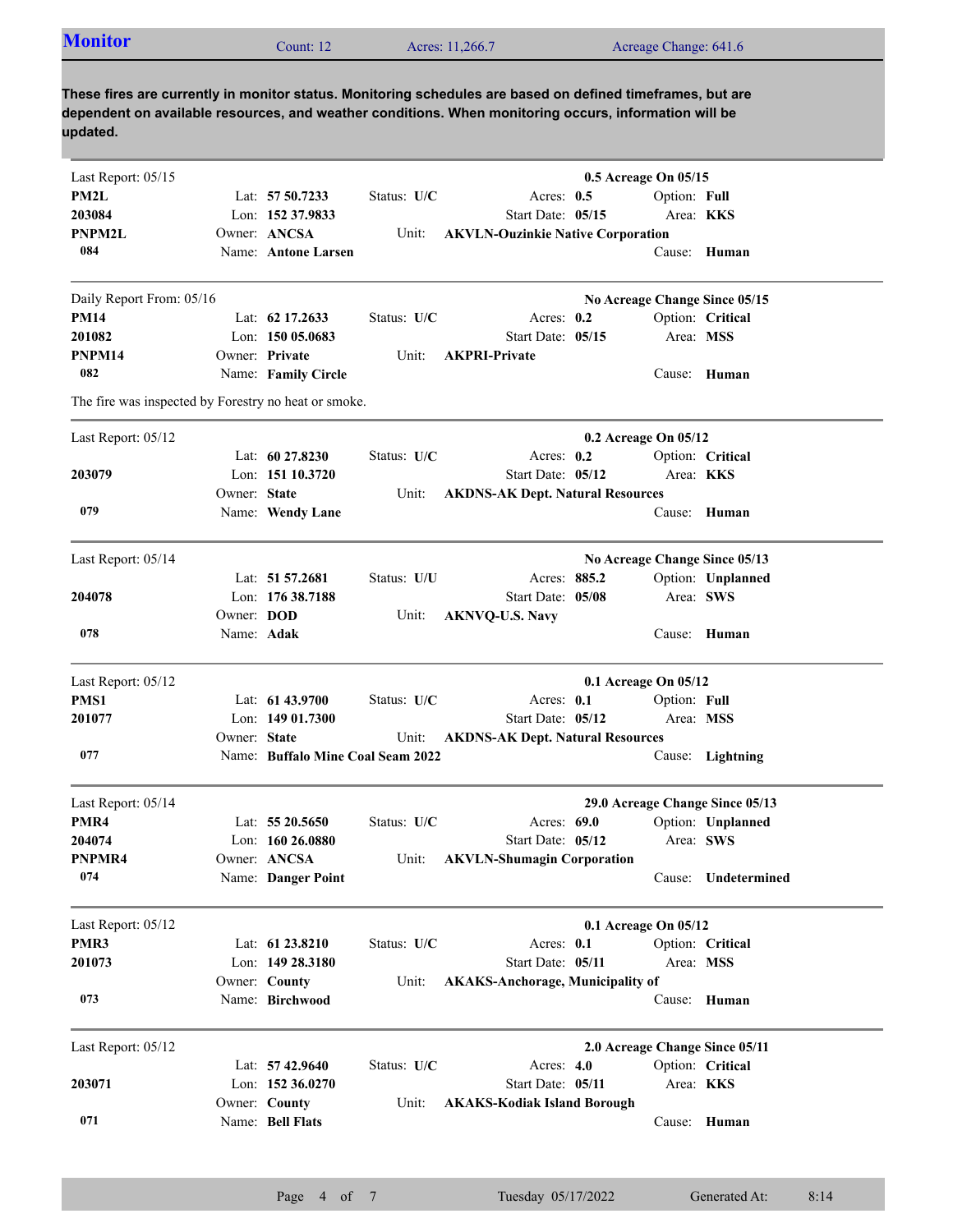| <b>Monitor</b> | Count: 12 | Acres: 11,266.7 | Acreage Change: 641.6 |  |
|----------------|-----------|-----------------|-----------------------|--|
|                |           |                 |                       |  |

**These fires are currently in monitor status. Monitoring schedules are based on defined timeframes, but are dependent on available resources, and weather conditions. When monitoring occurs, information will be updated.**

| Last Report: 05/15                                   |                   |                                   |             |                                          | 0.5 Acreage On 05/15 |              |                                 |
|------------------------------------------------------|-------------------|-----------------------------------|-------------|------------------------------------------|----------------------|--------------|---------------------------------|
| PM2L                                                 |                   | Lat: 57 50.7233                   | Status: U/C | Acres: $0.5$                             |                      | Option: Full |                                 |
| 203084                                               |                   | Lon: 152 37.9833                  |             | Start Date: 05/15                        |                      |              | Area: KKS                       |
| <b>PNPM2L</b>                                        |                   | Owner: ANCSA                      | Unit:       | <b>AKVLN-Ouzinkie Native Corporation</b> |                      |              |                                 |
| 084                                                  |                   | Name: Antone Larsen               |             |                                          |                      |              | Cause: Human                    |
| Daily Report From: 05/16                             |                   |                                   |             |                                          |                      |              | No Acreage Change Since 05/15   |
| <b>PM14</b>                                          |                   | Lat: 62 17.2633                   | Status: U/C | Acres: $0.2$                             |                      |              | Option: Critical                |
| 201082                                               |                   | Lon: 150 05.0683                  |             | Start Date: 05/15                        |                      | Area: MSS    |                                 |
| PNPM14                                               |                   | Owner: Private                    | Unit:       | <b>AKPRI-Private</b>                     |                      |              |                                 |
| 082                                                  |                   | Name: Family Circle               |             |                                          |                      |              | Cause: Human                    |
| The fire was inspected by Forestry no heat or smoke. |                   |                                   |             |                                          |                      |              |                                 |
| Last Report: 05/12                                   |                   |                                   |             |                                          | 0.2 Acreage On 05/12 |              |                                 |
|                                                      |                   | Lat: $60\,27.8230$                | Status: U/C | Acres: $0.2$                             |                      |              | Option: Critical                |
| 203079                                               |                   | Lon: 151 10.3720                  |             | Start Date: 05/12                        |                      | Area: KKS    |                                 |
|                                                      | Owner: State      |                                   | Unit:       | <b>AKDNS-AK Dept. Natural Resources</b>  |                      |              |                                 |
| 079                                                  |                   | Name: Wendy Lane                  |             |                                          |                      |              | Cause: Human                    |
| Last Report: 05/14                                   |                   |                                   |             |                                          |                      |              | No Acreage Change Since 05/13   |
|                                                      |                   | Lat: 51 57.2681                   | Status: U/U | Acres: 885.2                             |                      |              | Option: Unplanned               |
| 204078                                               |                   | Lon: 176 38.7188                  |             | Start Date: 05/08                        |                      | Area: SWS    |                                 |
|                                                      | Owner: <b>DOD</b> |                                   | Unit:       | <b>AKNVQ-U.S. Navy</b>                   |                      |              |                                 |
| 078                                                  | Name: Adak        |                                   |             |                                          |                      |              | Cause: Human                    |
| Last Report: 05/12                                   |                   |                                   |             |                                          | 0.1 Acreage On 05/12 |              |                                 |
| PMS1                                                 |                   | Lat: $61\,43.9700$                | Status: U/C | Acres: 0.1                               |                      | Option: Full |                                 |
| 201077                                               |                   | Lon: $14901.7300$                 |             | Start Date: 05/12                        |                      | Area: MSS    |                                 |
|                                                      | Owner: State      |                                   | Unit:       | <b>AKDNS-AK Dept. Natural Resources</b>  |                      |              |                                 |
| 077                                                  |                   | Name: Buffalo Mine Coal Seam 2022 |             |                                          |                      |              | Cause: Lightning                |
| Last Report: 05/14                                   |                   |                                   |             |                                          |                      |              | 29.0 Acreage Change Since 05/13 |
| PMR4                                                 |                   | Lat: $5520.5650$                  | Status: U/C | Acres: 69.0                              |                      |              | Option: Unplanned               |
| 204074                                               |                   | Lon: $160\,26.0880$               |             | Start Date: 05/12                        |                      | Area: SWS    |                                 |
| PNPMR4                                               |                   | Owner: ANCSA                      | Unit:       | <b>AKVLN-Shumagin Corporation</b>        |                      |              |                                 |
| 074                                                  |                   | Name: Danger Point                |             |                                          |                      |              | Cause: Undetermined             |
|                                                      |                   |                                   |             |                                          | 0.1 Acreage On 05/12 |              |                                 |
| Last Report: 05/12<br>PMR3                           |                   | Lat: 61 23.8210                   | Status: U/C | Acres: 0.1                               |                      |              | Option: Critical                |
| 201073                                               |                   | Lon: 149 28.3180                  |             | Start Date: 05/11                        |                      | Area: MSS    |                                 |
|                                                      |                   | Owner: County                     | Unit:       | <b>AKAKS-Anchorage, Municipality of</b>  |                      |              |                                 |
| 073                                                  |                   | Name: Birchwood                   |             |                                          |                      | Cause:       | Human                           |
|                                                      |                   |                                   |             |                                          |                      |              |                                 |
| Last Report: 05/12                                   |                   |                                   |             |                                          |                      |              | 2.0 Acreage Change Since 05/11  |
|                                                      |                   | Lat: $57\,42.9640$                | Status: U/C | Acres: $4.0$                             |                      |              | Option: Critical                |
| 203071                                               |                   | Lon: $152\,36.0270$               |             | Start Date: 05/11                        |                      |              | Area: <b>KKS</b>                |
|                                                      |                   | Owner: County                     | Unit:       | <b>AKAKS-Kodiak Island Borough</b>       |                      |              |                                 |
| 071                                                  |                   | Name: Bell Flats                  |             |                                          |                      |              | Cause: Human                    |
|                                                      |                   |                                   |             |                                          |                      |              |                                 |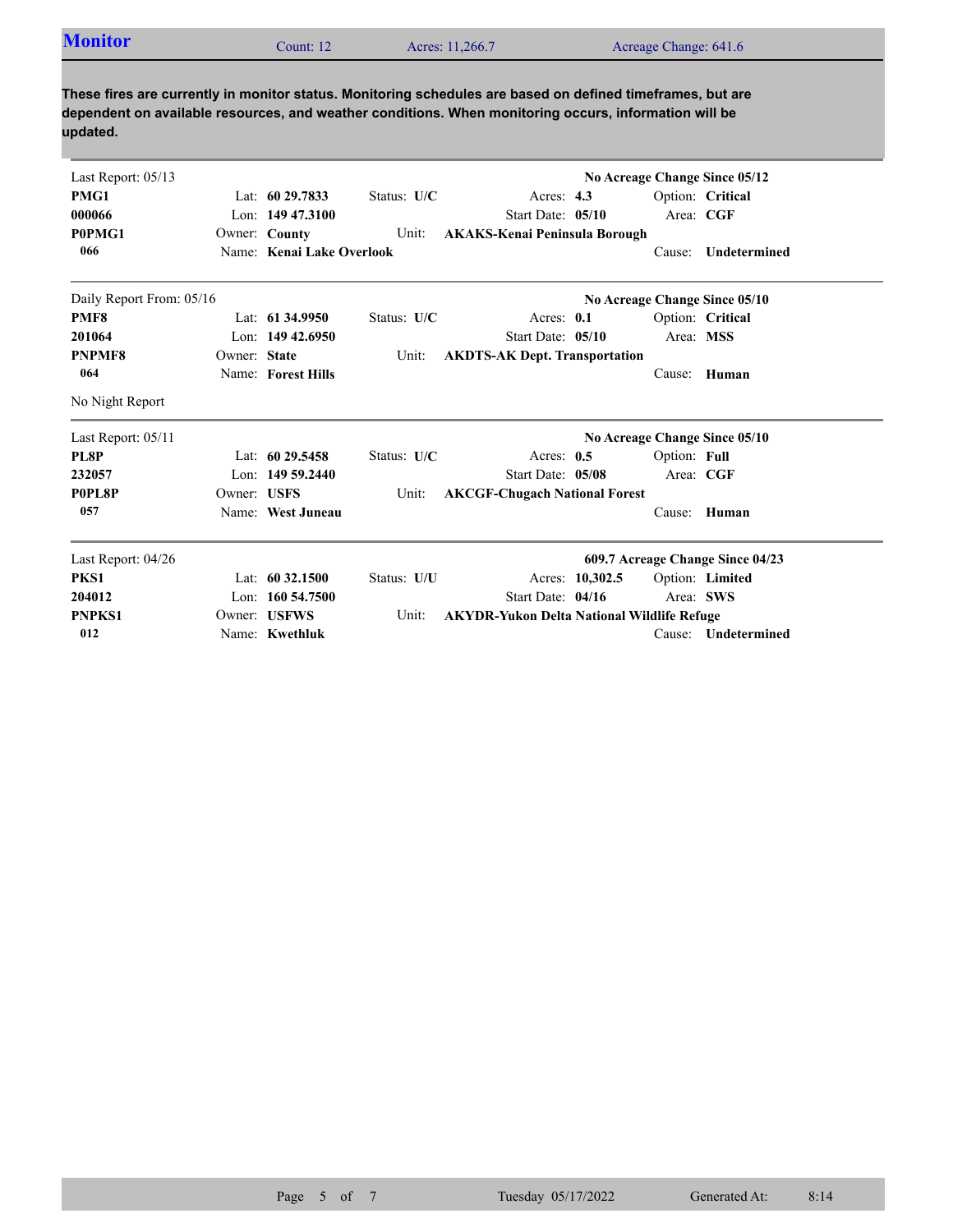| <b>Monitor</b> | Count: 12 | Acres: 11,266.7 | Acreage Change: 641.6 |
|----------------|-----------|-----------------|-----------------------|
|                |           |                 |                       |

**These fires are currently in monitor status. Monitoring schedules are based on defined timeframes, but are dependent on available resources, and weather conditions. When monitoring occurs, information will be updated.**

|                          | Status: U/C                                                                                                                                                                                                                                                                                   |                           |                                                                                                                                                   | Option: Critical                                                                                                                                                                                                                                                                                                 |
|--------------------------|-----------------------------------------------------------------------------------------------------------------------------------------------------------------------------------------------------------------------------------------------------------------------------------------------|---------------------------|---------------------------------------------------------------------------------------------------------------------------------------------------|------------------------------------------------------------------------------------------------------------------------------------------------------------------------------------------------------------------------------------------------------------------------------------------------------------------|
|                          |                                                                                                                                                                                                                                                                                               |                           |                                                                                                                                                   | Area: CGF                                                                                                                                                                                                                                                                                                        |
|                          | Unit:                                                                                                                                                                                                                                                                                         |                           |                                                                                                                                                   |                                                                                                                                                                                                                                                                                                                  |
|                          |                                                                                                                                                                                                                                                                                               |                           | Cause:                                                                                                                                            | Undetermined                                                                                                                                                                                                                                                                                                     |
| Daily Report From: 05/16 |                                                                                                                                                                                                                                                                                               |                           |                                                                                                                                                   |                                                                                                                                                                                                                                                                                                                  |
|                          | Status: U/C                                                                                                                                                                                                                                                                                   |                           |                                                                                                                                                   | Option: Critical                                                                                                                                                                                                                                                                                                 |
|                          |                                                                                                                                                                                                                                                                                               |                           |                                                                                                                                                   | Area: MSS                                                                                                                                                                                                                                                                                                        |
|                          | Unit:                                                                                                                                                                                                                                                                                         |                           |                                                                                                                                                   |                                                                                                                                                                                                                                                                                                                  |
|                          |                                                                                                                                                                                                                                                                                               |                           |                                                                                                                                                   | Cause: Human                                                                                                                                                                                                                                                                                                     |
|                          |                                                                                                                                                                                                                                                                                               |                           |                                                                                                                                                   |                                                                                                                                                                                                                                                                                                                  |
|                          |                                                                                                                                                                                                                                                                                               |                           |                                                                                                                                                   |                                                                                                                                                                                                                                                                                                                  |
|                          | Status: U/C                                                                                                                                                                                                                                                                                   |                           | Option: Full                                                                                                                                      |                                                                                                                                                                                                                                                                                                                  |
|                          |                                                                                                                                                                                                                                                                                               |                           |                                                                                                                                                   | Area: CGF                                                                                                                                                                                                                                                                                                        |
|                          | Unit:                                                                                                                                                                                                                                                                                         |                           |                                                                                                                                                   |                                                                                                                                                                                                                                                                                                                  |
|                          |                                                                                                                                                                                                                                                                                               |                           | Cause:                                                                                                                                            | Human                                                                                                                                                                                                                                                                                                            |
|                          |                                                                                                                                                                                                                                                                                               |                           |                                                                                                                                                   |                                                                                                                                                                                                                                                                                                                  |
|                          | Status: U/U                                                                                                                                                                                                                                                                                   |                           |                                                                                                                                                   | Option: Limited                                                                                                                                                                                                                                                                                                  |
|                          |                                                                                                                                                                                                                                                                                               |                           |                                                                                                                                                   | Area: SWS                                                                                                                                                                                                                                                                                                        |
|                          | Unit:                                                                                                                                                                                                                                                                                         |                           |                                                                                                                                                   |                                                                                                                                                                                                                                                                                                                  |
|                          |                                                                                                                                                                                                                                                                                               |                           | Cause:                                                                                                                                            | Undetermined                                                                                                                                                                                                                                                                                                     |
|                          | Lat: $6029.7833$<br>Lon: $14947.3100$<br>Owner: County<br>Lat: 61 34.9950<br>Lon: $14942.6950$<br>Owner: State<br>Name: Forest Hills<br>Lat: $6029.5458$<br>Lon: $14959.2440$<br>Owner: USFS<br>Name: West Juneau<br>Lat: $60\,32.1500$<br>Lon: 160 54.7500<br>Owner: USFWS<br>Name: Kwethluk | Name: Kenai Lake Overlook | Acres: $4.3$<br>Start Date: 05/10<br>Acres: 0.1<br>Start Date: 05/10<br>Acres: $0.5$<br>Start Date: 05/08<br>Acres: 10.302.5<br>Start Date: 04/16 | No Acreage Change Since 05/12<br><b>AKAKS-Kenai Peninsula Borough</b><br>No Acreage Change Since 05/10<br><b>AKDTS-AK Dept. Transportation</b><br>No Acreage Change Since 05/10<br><b>AKCGF-Chugach National Forest</b><br>609.7 Acreage Change Since 04/23<br><b>AKYDR-Yukon Delta National Wildlife Refuge</b> |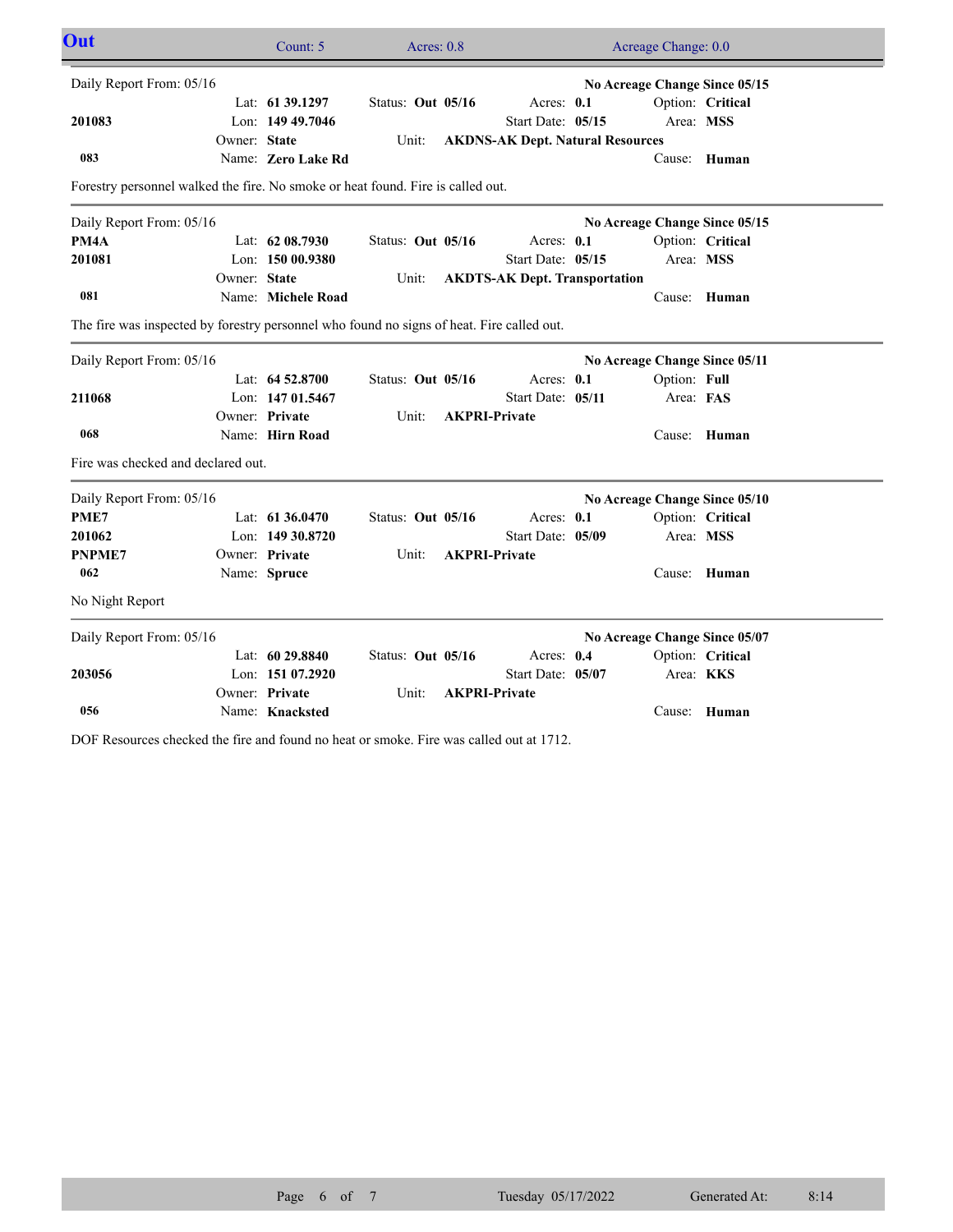| Out                                                                                       |              | Count: 5           | Acres: $0.8$      |                                         | Acreage Change: 0.0           |                  |  |
|-------------------------------------------------------------------------------------------|--------------|--------------------|-------------------|-----------------------------------------|-------------------------------|------------------|--|
| Daily Report From: 05/16                                                                  |              |                    |                   |                                         | No Acreage Change Since 05/15 |                  |  |
|                                                                                           |              | Lat: 61 39.1297    | Status: Out 05/16 | Acres: 0.1                              |                               | Option: Critical |  |
| 201083                                                                                    |              | Lon: 149 49.7046   |                   | Start Date: 05/15                       | Area: MSS                     |                  |  |
|                                                                                           | Owner: State |                    | Unit:             | <b>AKDNS-AK Dept. Natural Resources</b> |                               |                  |  |
| 083                                                                                       |              | Name: Zero Lake Rd |                   |                                         |                               | Cause: Human     |  |
| Forestry personnel walked the fire. No smoke or heat found. Fire is called out.           |              |                    |                   |                                         |                               |                  |  |
| Daily Report From: 05/16                                                                  |              |                    |                   |                                         | No Acreage Change Since 05/15 |                  |  |
| PM4A                                                                                      |              | Lat: $6208.7930$   | Status: Out 05/16 | Acres: 0.1                              |                               | Option: Critical |  |
| 201081                                                                                    |              | Lon: $15000.9380$  |                   | Start Date: 05/15                       | Area: MSS                     |                  |  |
|                                                                                           | Owner: State |                    | Unit:             | <b>AKDTS-AK Dept. Transportation</b>    |                               |                  |  |
| 081                                                                                       |              | Name: Michele Road |                   |                                         |                               | Cause: Human     |  |
| The fire was inspected by forestry personnel who found no signs of heat. Fire called out. |              |                    |                   |                                         |                               |                  |  |
| Daily Report From: 05/16                                                                  |              |                    |                   |                                         | No Acreage Change Since 05/11 |                  |  |
|                                                                                           |              | Lat: $64\,52.8700$ | Status: Out 05/16 | Acres: 0.1                              | Option: Full                  |                  |  |
| 211068                                                                                    |              | Lon: 147 01.5467   |                   | Start Date: 05/11                       | Area: FAS                     |                  |  |
|                                                                                           |              | Owner: Private     | Unit:             | <b>AKPRI-Private</b>                    |                               |                  |  |
| 068                                                                                       |              | Name: Hirn Road    |                   |                                         |                               | Cause: Human     |  |
| Fire was checked and declared out.                                                        |              |                    |                   |                                         |                               |                  |  |
| Daily Report From: 05/16                                                                  |              |                    |                   |                                         | No Acreage Change Since 05/10 |                  |  |
| PME7                                                                                      |              | Lat: 61 36.0470    | Status: Out 05/16 | Acres: 0.1                              |                               | Option: Critical |  |
| 201062                                                                                    |              | Lon: 149 30.8720   |                   | Start Date: 05/09                       | Area: MSS                     |                  |  |
| <b>PNPME7</b>                                                                             |              | Owner: Private     | Unit:             | <b>AKPRI-Private</b>                    |                               |                  |  |
| 062                                                                                       |              | Name: Spruce       |                   |                                         |                               | Cause: Human     |  |
| No Night Report                                                                           |              |                    |                   |                                         |                               |                  |  |
| Daily Report From: 05/16                                                                  |              |                    |                   |                                         | No Acreage Change Since 05/07 |                  |  |
|                                                                                           |              | Lat: $6029.8840$   | Status: Out 05/16 | Acres: 0.4                              |                               | Option: Critical |  |
| 203056                                                                                    |              | Lon: 151 07.2920   |                   | Start Date: 05/07                       | Area: <b>KKS</b>              |                  |  |
|                                                                                           |              | Owner: Private     | Unit:             | <b>AKPRI-Private</b>                    |                               |                  |  |
| 056                                                                                       |              | Name: Knacksted    |                   |                                         |                               | Cause: Human     |  |

DOF Resources checked the fire and found no heat or smoke. Fire was called out at 1712.